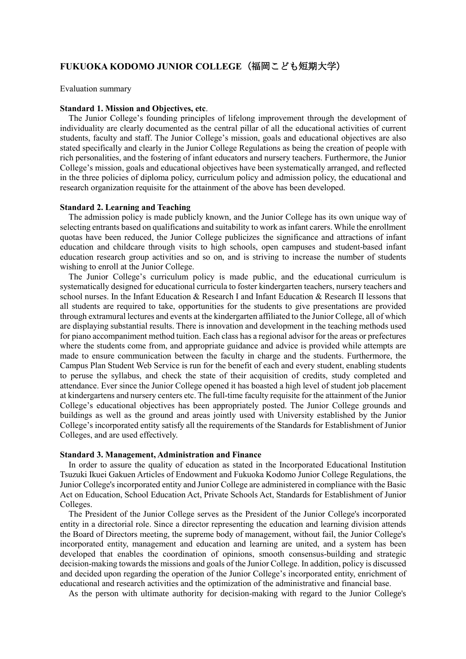# **FUKUOKA KODOMO JUNIOR COLLEGE**(福岡こども短期大学)

Evaluation summary

### **Standard 1. Mission and Objectives, etc**.

The Junior College's founding principles of lifelong improvement through the development of individuality are clearly documented as the central pillar of all the educational activities of current students, faculty and staff. The Junior College's mission, goals and educational objectives are also stated specifically and clearly in the Junior College Regulations as being the creation of people with rich personalities, and the fostering of infant educators and nursery teachers. Furthermore, the Junior College's mission, goals and educational objectives have been systematically arranged, and reflected in the three policies of diploma policy, curriculum policy and admission policy, the educational and research organization requisite for the attainment of the above has been developed.

### **Standard 2. Learning and Teaching**

The admission policy is made publicly known, and the Junior College has its own unique way of selecting entrants based on qualifications and suitability to work asinfant carers. While the enrollment quotas have been reduced, the Junior College publicizes the significance and attractions of infant education and childcare through visits to high schools, open campuses and student-based infant education research group activities and so on, and is striving to increase the number of students wishing to enroll at the Junior College.

The Junior College's curriculum policy is made public, and the educational curriculum is systematically designed for educational curricula to foster kindergarten teachers, nursery teachers and school nurses. In the Infant Education & Research I and Infant Education & Research II lessons that all students are required to take, opportunities for the students to give presentations are provided through extramural lectures and events at the kindergarten affiliated to the Junior College, all of which are displaying substantial results. There is innovation and development in the teaching methods used for piano accompaniment method tuition. Each class has a regional advisor for the areas or prefectures where the students come from, and appropriate guidance and advice is provided while attempts are made to ensure communication between the faculty in charge and the students. Furthermore, the Campus Plan Student Web Service is run for the benefit of each and every student, enabling students to peruse the syllabus, and check the state of their acquisition of credits, study completed and attendance. Ever since the Junior College opened it has boasted a high level of student job placement at kindergartens and nursery centers etc. The full-time faculty requisite for the attainment of the Junior College's educational objectives has been appropriately posted. The Junior College grounds and buildings as well as the ground and areas jointly used with University established by the Junior College's incorporated entity satisfy all the requirements of the Standards for Establishment of Junior Colleges, and are used effectively.

#### **Standard 3. Management, Administration and Finance**

In order to assure the quality of education as stated in the Incorporated Educational Institution Tsuzuki Ikuei Gakuen Articles of Endowment and Fukuoka Kodomo Junior College Regulations, the Junior College's incorporated entity and Junior College are administered in compliance with the Basic Act on Education, School Education Act, Private Schools Act, Standards for Establishment of Junior Colleges.

The President of the Junior College serves as the President of the Junior College's incorporated entity in a directorial role. Since a director representing the education and learning division attends the Board of Directors meeting, the supreme body of management, without fail, the Junior College's incorporated entity, management and education and learning are united, and a system has been developed that enables the coordination of opinions, smooth consensus-building and strategic decision-making towards the missions and goals of the Junior College. In addition, policy is discussed and decided upon regarding the operation of the Junior College's incorporated entity, enrichment of educational and research activities and the optimization of the administrative and financial base.

As the person with ultimate authority for decision-making with regard to the Junior College's